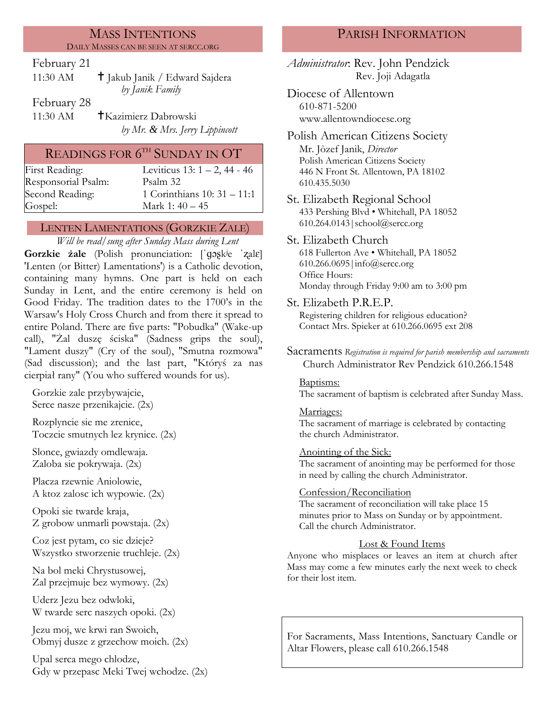#### MASS INTENTIONS DAILY MASSES CAN BE SEEN AT SERCC.ORG

## February 21

| 11:30 AM | <sup>†</sup> Jakub Janik / Edward Sajdera |
|----------|-------------------------------------------|
|          | by Janik Family                           |

February 28

11:30 AM Kazimierz Dabrowski *by Mr. & Mrs. Jerry Lippincott*

# READINGS FOR  $6^{\rm{th}}$  Sunday in OT

| First Reading:      | Leviticus 13: $1 - 2$ , 44 - 46 |
|---------------------|---------------------------------|
| Responsorial Psalm: | Psalm 32                        |
| Second Reading:     | 1 Corinthians $10:31 - 11:1$    |
| Gospel:             | Mark 1: $40 - 45$               |

## LENTEN LAMENTATIONS (GORZKIE ZALE)

*Will be read/sung after Sunday Mass during Lent*

**Gorzkie żale** (Polish pronunciation: [ˈɡɔʂkʲe ˈʐalɛ] 'Lenten (or Bitter) Lamentations') is a Catholic devotion, containing many hymns. One part is held on each Sunday in Lent, and the entire ceremony is held on Good Friday. The tradition dates to the 1700's in the Warsaw's Holy Cross Church and from there it spread to entire Poland. There are five parts: "Pobudka" (Wake-up call), "Żal duszę ściska" (Sadness grips the soul), "Lament duszy" (Cry of the soul), "Smutna rozmowa" (Sad discussion); and the last part, "Któryś za nas cierpiał rany" (You who suffered wounds for us).

Gorzkie zale przybywajcie, Serce nasze przenikajcie. (2x)

Rozplyncie sie me zrenice, Toczcie smutnych lez krynice. (2x)

Slonce, gwiazdy omdlewaja. Zaloba sie pokrywaja. (2x)

Placza rzewnie Aniolowie, A ktoz zalosc ich wypowie. (2x)

Opoki sie twarde kraja, Z grobow unmarli powstaja. (2x)

Coz jest pytam, co sie dzieje? Wszystko stworzenie truchleje. (2x)

Na bol meki Chrystusowej, Zal przejmuje bez wymowy. (2x)

Uderz Jezu bez odwloki, W twarde serc naszych opoki. (2x)

Jezu moj, we krwi ran Swoich, Obmyj dusze z grzechow moich. (2x)

Upal serca mego chlodze, Gdy w przepasc Meki Twej wchodze. (2x)

# PARISH INFORMATION

*Administrator*: Rev. John Pendzick Rev. Joji Adagatla

Diocese of Allentown 610-871-5200 www.allentowndiocese.org

Polish American Citizens Society Mr. Jòzef Janik, *Director* Polish American Citizens Society 446 N Front St. Allentown, PA 18102 610.435.5030

- St. Elizabeth Regional School 433 Pershing Blvd • Whitehall, PA 18052 610.264.0143|school@sercc.org
- St. Elizabeth Church 618 Fullerton Ave • Whitehall, PA 18052 610.266.0695|info@sercc.org Office Hours: Monday through Friday 9:00 am to 3:00 pm
- St. Elizabeth P.R.E.P.

Registering children for religious education? Contact Mrs. Spieker at 610.266.0695 ext 208

Sacraments *Registration is required for parish membership and sacraments* Church Administrator Rev Pendzick 610.266.1548

#### Baptisms:

The sacrament of baptism is celebrated after Sunday Mass.

#### Marriages:

The sacrament of marriage is celebrated by contacting the church Administrator.

#### Anointing of the Sick:

The sacrament of anointing may be performed for those in need by calling the church Administrator.

#### Confession/Reconciliation

The sacrament of reconciliation will take place 15 minutes prior to Mass on Sunday or by appointment. Call the church Administrator.

## Lost & Found Items

Anyone who misplaces or leaves an item at church after Mass may come a few minutes early the next week to check for their lost item.

For Sacraments, Mass Intentions, Sanctuary Candle or Altar Flowers, please call 610.266.1548